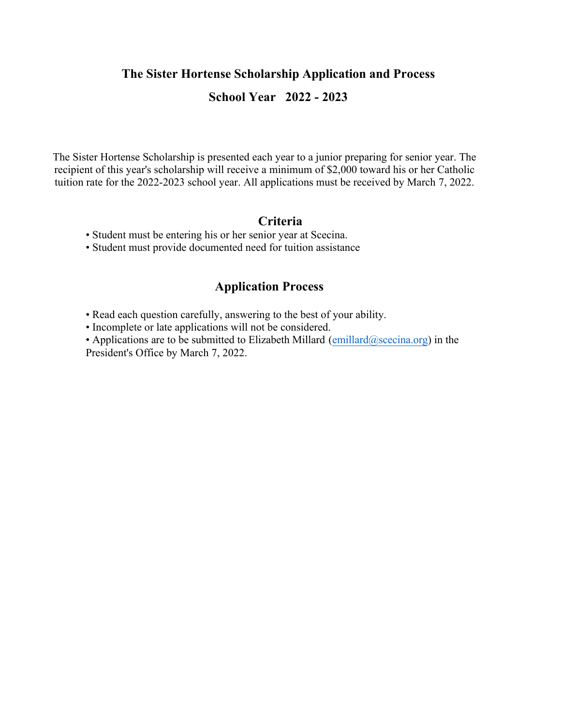#### **The Sister Hortense Scholarship Application and Process**

## **School Year 2022 - 2023**

The Sister Hortense Scholarship is presented each year to a junior preparing for senior year. The recipient of this year's scholarship will receive a minimum of \$2,000 toward his or her Catholic tuition rate for the 2022-2023 school year. All applications must be received by March 7, 2022.

#### **Criteria**

- Student must be entering his or her senior year at Scecina.
- Student must provide documented need for tuition assistance

### **Application Process**

- Read each question carefully, answering to the best of your ability.
- Incomplete or late applications will not be considered.

• Applications are to be submitted to Elizabeth Millard  $(emillard@scecina.org)$  $(emillard@scecina.org)$  in the President's Office by March 7, 2022.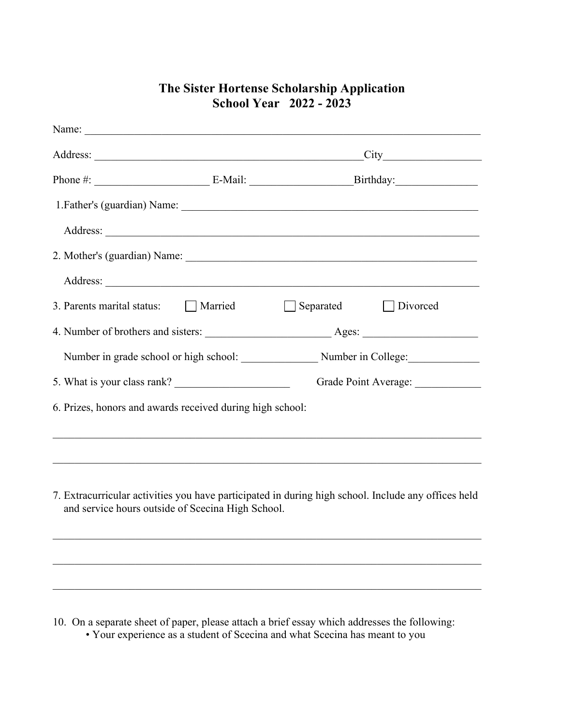# Name: Address: \_\_\_\_\_\_\_\_\_\_\_\_\_\_\_\_\_\_\_\_\_\_\_\_\_\_\_\_\_\_\_\_\_\_\_\_\_\_\_\_\_\_\_\_\_\_\_\_\_City\_\_\_\_\_\_\_\_\_\_\_\_\_\_\_\_\_\_ Phone #: \_\_\_\_\_\_\_\_\_\_\_\_\_\_\_\_\_\_\_\_\_ E-Mail: \_\_\_\_\_\_\_\_\_\_\_\_\_\_\_\_\_\_\_Birthday:\_\_\_\_\_\_\_\_\_\_\_\_\_\_\_ 1.Father's (guardian) Name: \_\_\_\_\_\_\_\_\_\_\_\_\_\_\_\_\_\_\_\_\_\_\_\_\_\_\_\_\_\_\_\_\_\_\_\_\_\_\_\_\_\_\_\_\_\_\_\_\_\_\_\_\_\_ Address: \_\_\_\_\_\_\_\_\_\_\_\_\_\_\_\_\_\_\_\_\_\_\_\_\_\_\_\_\_\_\_\_\_\_\_\_\_\_\_\_\_\_\_\_\_\_\_\_\_\_\_\_\_\_\_\_\_\_\_\_\_\_\_\_\_\_\_\_ 2. Mother's (guardian) Name: \_\_\_\_\_\_\_\_\_\_\_\_\_\_\_\_\_\_\_\_\_\_\_\_\_\_\_\_\_\_\_\_\_\_\_\_\_\_\_\_\_\_\_\_\_\_\_\_\_\_\_\_\_ Address: 3. Parents marital status: Married Separated Divorced 4. Number of brothers and sisters: \_\_\_\_\_\_\_\_\_\_\_\_\_\_\_\_\_\_\_\_\_\_\_ Ages: \_\_\_\_\_\_\_\_\_\_\_\_\_\_\_\_\_\_\_\_\_ Number in grade school or high school: \_\_\_\_\_\_\_\_\_\_\_\_\_\_\_\_\_\_\_ Number in College: 5. What is your class rank? Grade Point Average: 6. Prizes, honors and awards received during high school: \_\_\_\_\_\_\_\_\_\_\_\_\_\_\_\_\_\_\_\_\_\_\_\_\_\_\_\_\_\_\_\_\_\_\_\_\_\_\_\_\_\_\_\_\_\_\_\_\_\_\_\_\_\_\_\_\_\_\_\_\_\_\_\_\_\_\_\_\_\_\_\_\_\_\_\_\_\_ \_\_\_\_\_\_\_\_\_\_\_\_\_\_\_\_\_\_\_\_\_\_\_\_\_\_\_\_\_\_\_\_\_\_\_\_\_\_\_\_\_\_\_\_\_\_\_\_\_\_\_\_\_\_\_\_\_\_\_\_\_\_\_\_\_\_\_\_\_\_\_\_\_\_\_\_\_\_

### **The Sister Hortense Scholarship Application School Year 2022 - 2023**

7. Extracurricular activities you have participated in during high school. Include any offices held and service hours outside of Scecina High School.

\_\_\_\_\_\_\_\_\_\_\_\_\_\_\_\_\_\_\_\_\_\_\_\_\_\_\_\_\_\_\_\_\_\_\_\_\_\_\_\_\_\_\_\_\_\_\_\_\_\_\_\_\_\_\_\_\_\_\_\_\_\_\_\_\_\_\_\_\_\_\_\_\_\_\_\_\_\_

\_\_\_\_\_\_\_\_\_\_\_\_\_\_\_\_\_\_\_\_\_\_\_\_\_\_\_\_\_\_\_\_\_\_\_\_\_\_\_\_\_\_\_\_\_\_\_\_\_\_\_\_\_\_\_\_\_\_\_\_\_\_\_\_\_\_\_\_\_\_\_\_\_\_\_\_\_\_

\_\_\_\_\_\_\_\_\_\_\_\_\_\_\_\_\_\_\_\_\_\_\_\_\_\_\_\_\_\_\_\_\_\_\_\_\_\_\_\_\_\_\_\_\_\_\_\_\_\_\_\_\_\_\_\_\_\_\_\_\_\_\_\_\_\_\_\_\_\_\_\_\_\_\_\_\_\_

10. On a separate sheet of paper, please attach a brief essay which addresses the following: • Your experience as a student of Scecina and what Scecina has meant to you